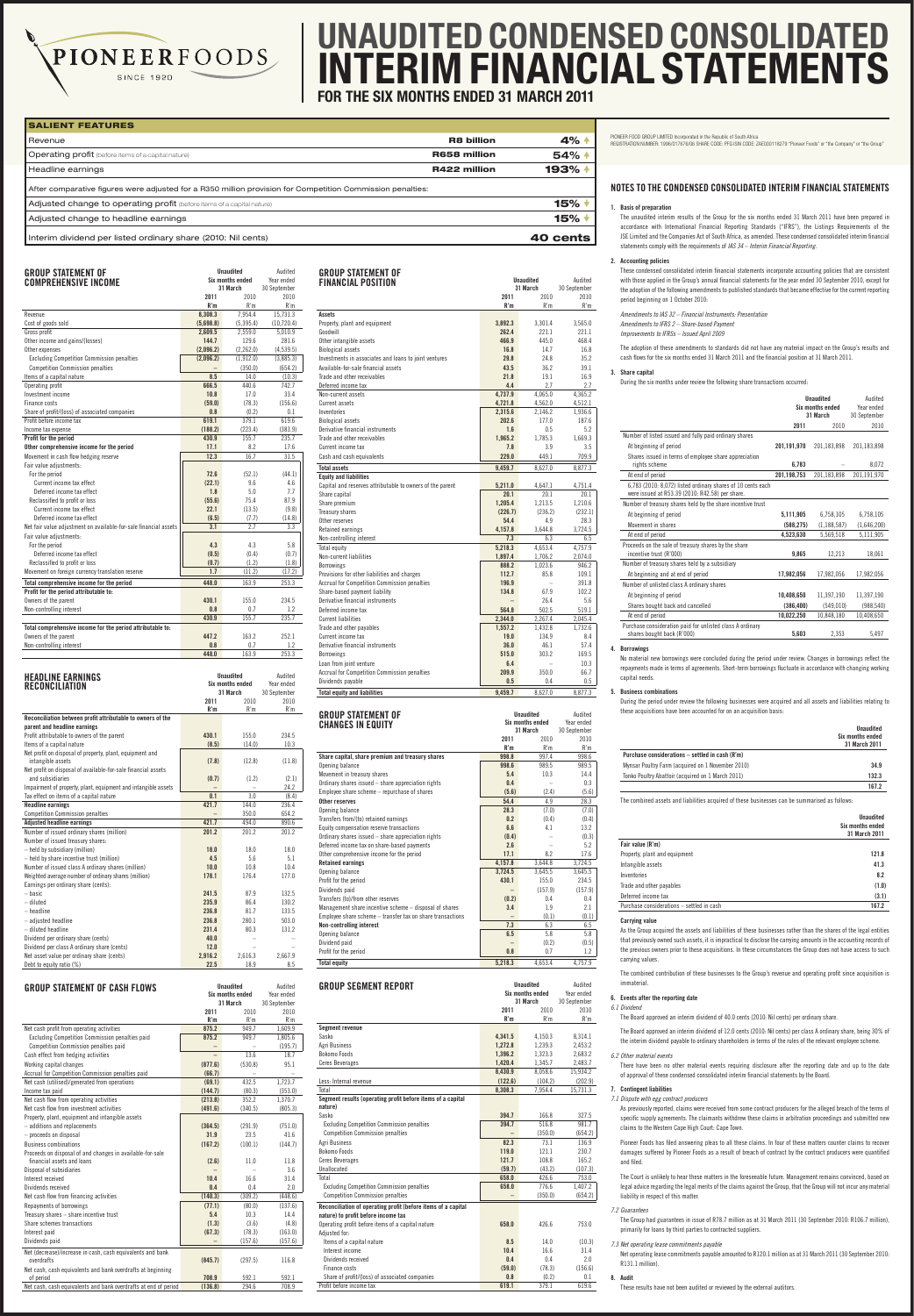| <b>GROUP STATEMENT OF</b>                                        | <b>Unaudited</b><br>Six months ended |               | Audited      |
|------------------------------------------------------------------|--------------------------------------|---------------|--------------|
| <b>COMPREHENSIVE INCOME</b>                                      |                                      | Year ended    |              |
|                                                                  |                                      | 31 March      | 30 September |
|                                                                  | 2011<br>R'm                          | 2010<br>R'm   | 2010<br>R'm  |
| Revenue                                                          | 8,308.3                              | 7,954.4       | 15,731.3     |
| Cost of goods sold                                               | (5,698.8)                            | (5,395.4)     | (10, 720.4)  |
| Gross profit                                                     | 2,609.5                              | 2,559.0       | 5,010.9      |
| Other income and gains/(losses)                                  | 144.7                                | 129.6         | 281.6        |
| Other expenses                                                   | (2,096.2)                            | (2,262.0)     | (4,539.5)    |
| <b>Excluding Competition Commission penalties</b>                | (2,096.2)                            | (1,912.0)     | (3,885.3)    |
| <b>Competition Commission penalties</b>                          |                                      | (350.0)       | (654.2)      |
| Items of a capital nature                                        | 8.5                                  | 14.0          | (10.3)       |
| Operating profit                                                 | 666.5                                | 440.6         | 742.7        |
| Investment income                                                | 10.8                                 | 17.0          | 33.4         |
| Finance costs                                                    | (59.0)                               | (78.3)        | (156.6)      |
| Share of profit/(loss) of associated companies                   | 0.8                                  | (0.2)         | 0.1          |
| Profit before income tax                                         | 619.1                                | 379.1         | 619.6        |
| Income tax expense                                               | (188.2)                              | (223.4)       | (383.9)      |
| Profit for the period                                            | 430.9                                | 155.7         | 235.7        |
| Other comprehensive income for the period                        | 17.1                                 | 8.2           | 17.6         |
| Movement in cash flow hedging reserve                            | 12.3                                 | 16.7          | 31.5         |
| Fair value adiustments:                                          |                                      |               |              |
|                                                                  | 72.6                                 |               |              |
| For the period<br>Current income tax effect                      |                                      | (52.1)<br>9.6 | (44.1)       |
|                                                                  | (22.1)                               |               | 4.6          |
| Deferred income tax effect                                       | 1.8                                  | 5.0           | 7.7          |
| Reclassified to profit or loss                                   | (55.6)                               | 75.4          | 87.9         |
| Current income tax effect                                        | 22.1                                 | (13.5)        | (9.8)        |
| Deferred income tax effect                                       | (6.5)                                | (7.7)         | (14.8)       |
| Net fair value adjustment on available-for-sale financial assets | 3.1                                  | 2.7           | 3.3          |
| Fair value adjustments:                                          |                                      |               |              |
| For the period                                                   | 4.3                                  | 4.3           | 5.8          |
| Deferred income tax effect                                       | (0.5)                                | (0.4)         | (0.7)        |
| Reclassified to profit or loss                                   | (0.7)                                | (1.2)         | (1.8)        |
| Movement on foreign currency translation reserve                 | 1.7                                  | (11.2)        | (17.2)       |
| Total comprehensive income for the period                        | 448.0                                | 163.9         | 253.3        |
| Profit for the period attributable to:                           |                                      |               |              |
| Owners of the parent                                             | 430.1                                | 155.0         | 234.5        |
| Non-controlling interest                                         | 0.8                                  | 0.7           | 1.2          |
|                                                                  | 430.9                                | 155.7         | 235.7        |
| Total comprehensive income for the period attributable to:       |                                      |               |              |
| Owners of the parent                                             | 447.2                                | 163.2         | 252.1        |
| Non-controlling interest                                         | 0.8                                  | 0.7           | 1.2          |
|                                                                  | 448.0                                | 163.9         | 253.3        |
|                                                                  |                                      |               |              |
| <b>Unaudited</b><br><b>HEADLINE EARNINGS</b>                     |                                      | Audited       |              |
| <b>RECONCILIATION</b>                                            | <b>Six months ended</b>              |               | Year ended   |
|                                                                  |                                      | 31 March      | 30 September |
|                                                                  | 2011                                 | 2010          | 2010         |
|                                                                  | R'm                                  | R'm           | R'm          |
| Reconciliation between profit attributable to owners of the      |                                      |               |              |

PIONEERFOODS

**SINCE 1920** 

|                                                                | 2011    | 2010    | 2010    |
|----------------------------------------------------------------|---------|---------|---------|
|                                                                | R'm     | R'm     | R'm     |
| Reconciliation between profit attributable to owners of the    |         |         |         |
| parent and headline earnings                                   |         |         |         |
| Profit attributable to owners of the parent                    | 430.1   | 155.0   | 234.5   |
| Items of a capital nature                                      | (8.5)   | (14.0)  | 10.3    |
| Net profit on disposal of property, plant, equipment and       |         |         |         |
| intangible assets                                              | (7.8)   | (12.8)  | (11.8)  |
| Net profit on disposal of available-for-sale financial assets  |         |         |         |
| and subsidiaries                                               | (0.7)   | (1.2)   | (2.1)   |
| Impairment of property, plant, equipment and intangible assets |         |         | 24.2    |
| Tax effect on items of a capital nature                        | 0.1     | 3.0     | (8.4)   |
| <b>Headline earnings</b>                                       | 421.7   | 144.0   | 236.4   |
| <b>Competition Commission penalties</b>                        |         | 350.0   | 654.2   |
| <b>Adjusted headline earnings</b>                              | 421.7   | 494.0   | 890.6   |
| Number of issued ordinary shares (million)                     | 201.2   | 201.2   | 201.2   |
| Number of issued treasury shares:                              |         |         |         |
| - held by subsidiary (million)                                 | 18.0    | 18.0    | 18.0    |
| - held by share incentive trust (million)                      | 4.5     | 5.6     | 5.1     |
| Number of issued class A ordinary shares (million)             | 10.0    | 10.8    | 10.4    |
| Weighted average number of ordinary shares (million)           | 178.1   | 176.4   | 177.0   |
| Earnings per ordinary share (cents):                           |         |         |         |
| - basic                                                        | 241.5   | 87.9    | 132.5   |
| - diluted                                                      | 235.9   | 86.4    | 130.2   |
| $-$ headline                                                   | 236.8   | 81.7    | 133.5   |
| - adjusted headline                                            | 236.8   | 280.1   | 503.0   |
| - diluted headline                                             | 231.4   | 80.3    | 131.2   |
| Dividend per ordinary share (cents)                            | 40.0    |         |         |
| Dividend per class A ordinary share (cents)                    | 12.0    |         |         |
| Net asset value per ordinary share (cents)                     | 2,916.2 | 2,616.3 | 2,667.9 |
| Debt to equity ratio (%)                                       | 22.5    | 18.9    | 8.5     |

| <b>GROUP STATEMENT OF CASH FLOWS</b>                                     |         | <b>Unaudited</b><br>Six months ended<br>31 March | Audited<br>Year ended<br>30 September |
|--------------------------------------------------------------------------|---------|--------------------------------------------------|---------------------------------------|
|                                                                          | 2011    | 2010                                             | 2010                                  |
|                                                                          | R'm     | R'm                                              | R'm                                   |
| Net cash profit from operating activities                                | 875.2   | 949.7                                            | 1,609.9                               |
| Excluding Competition Commission penalties paid                          | 875.2   | 949.7                                            | 1,805.6                               |
| <b>Competition Commission penalties paid</b>                             |         |                                                  | (195.7)                               |
| Cash effect from hedging activities                                      |         | 13.6                                             | 18.7                                  |
| Working capital changes                                                  | (877.6) | (530.8)                                          | 95.1                                  |
| Accrual for Competition Commission penalties paid                        | (66.7)  |                                                  |                                       |
| Net cash (utilised)/generated from operations                            | (69.1)  | 432.5                                            | 1,723.7                               |
| Income tax paid                                                          | (144.7) | (80.3)                                           | (353.0)                               |
| Net cash flow from operating activities                                  | (213.8) | 352.2                                            | 1,370.7                               |
| Net cash flow from investment activities                                 | (491.6) | (340.5)                                          | (805.3)                               |
| Property, plant, equipment and intangible assets                         |         |                                                  |                                       |
| - additions and replacements                                             | (364.5) | (291.9)                                          | (751.0)                               |
| - proceeds on disposal                                                   | 31.9    | 23.5                                             | 41.6                                  |
| <b>Business combinations</b>                                             | (167.2) | (100.1)                                          | (144.7)                               |
| Proceeds on disposal of and changes in available-for-sale                |         |                                                  |                                       |
| financial assets and loans                                               | (2.6)   | 11.0                                             | 11.8                                  |
| Disposal of subsidiaries                                                 |         |                                                  | 3.6                                   |
| Interest received                                                        | 10.4    | 16.6                                             | 31.4                                  |
| Dividends received                                                       | 0.4     | 0.4                                              | 2.0                                   |
| Net cash flow from financing activities                                  | (140.3) | (309.2)                                          | (448.6)                               |
| Repayments of borrowings                                                 | (77.1)  | (80.0)                                           | (137.6)                               |
| Treasury shares - share incentive trust                                  | 5.4     | 10.3                                             | 14.4                                  |
| Share schemes transactions                                               | (1.3)   | (3.6)                                            | (4.8)                                 |
| Interest paid                                                            | (67.3)  | (78.3)                                           | (163.0)                               |
| Dividends paid                                                           |         | (157.6)                                          | (157.6)                               |
|                                                                          |         |                                                  |                                       |
| Net (decrease)/increase in cash, cash equivalents and bank<br>overdrafts | (845.7) | (297.5)                                          | 116.8                                 |
| Net cash, cash equivalents and bank overdrafts at beginning              |         |                                                  |                                       |
| of period                                                                | 708.9   | 592.1                                            | 592.1                                 |
| Net cash, cash equivalents and bank overdrafts at end of period          | (136.8) | 294.6                                            | 708.9                                 |

| <b>GROUP STATEMENT OF</b><br><b>FINANCIAL POSITION</b>    |                 | <b>Unaudited</b><br>31 March | Audited<br>30 September |
|-----------------------------------------------------------|-----------------|------------------------------|-------------------------|
|                                                           | 2011            | 2010                         | 2010                    |
|                                                           | R'm             | R'm                          | R'm                     |
| <b>Assets</b>                                             |                 |                              |                         |
| Property, plant and equipment                             | 3,892.3         | 3,301.4                      | 3,565.0                 |
| Goodwill                                                  | 262.4           | 221.1                        | 221.1                   |
| Other intangible assets                                   | 466.9           | 445.0                        | 468.4                   |
| <b>Biological assets</b>                                  | 16.8            | 14.7                         | 16.8                    |
| Investments in associates and loans to joint ventures     | 29.8            | 24.8                         | 35.2                    |
| Available-for-sale financial assets                       | 43.5            | 36.2                         | 39.1                    |
| Trade and other receivables                               | 21.8            | 19.1                         | 16.9                    |
| Deferred income tax                                       | 4.4             | 2.7                          | 2.7                     |
| Non-current assets                                        | 4,737.9         | 4,065.0                      | 4,365.2                 |
| Current assets                                            | 4.721.8         | 4.562.0                      | 4,512.1                 |
| Inventories                                               | 2,315.6         | 2,146.2                      | 1,936.6                 |
| <b>Biological assets</b>                                  | 202.6           | 177.0                        | 187.6                   |
| Derivative financial instruments                          | 1.6             | 0.5                          | 5.2                     |
| Trade and other receivables                               | 1.965.2         | 1.785.3                      | 1.669.3                 |
| Current income tax                                        | 7.8             | 3.9                          | 3.5                     |
| Cash and cash equivalents                                 | 229.0           | 449.1                        | 709.9                   |
| <b>Total assets</b>                                       | 9.459.7         | 8,627.0                      | 8,877.3                 |
| <b>Equity and liabilities</b>                             |                 |                              |                         |
| Capital and reserves attributable to owners of the parent | 5,211.0         | 4,647.1                      | 4,751.4                 |
| Share capital                                             | 20.1<br>1,205.4 | 20.1<br>1,213.5              | 20.1<br>1,210.6         |
| Share premium                                             | (226.7)         |                              |                         |
| Treasury shares<br>Other reserves                         | 54.4            | (236.2)<br>4.9               | (232.1)<br>28.3         |
| Retained earnings                                         | 4.157.8         | 3.644.8                      | 3,724.5                 |
| Non-controlling interest                                  | 7.3             | 6.3                          | 6.5                     |
| Total equity                                              | 5,218.3         | 4,653.4                      | 4,757.9                 |
| Non-current liabilities                                   | 1,897.4         | 1,706.2                      | 2,074.0                 |
| <b>Borrowings</b>                                         | 888.2           | 1,023.6                      | 946.2                   |
| Provisions for other liabilities and charges              | 112.7           | 85.8                         | 109.1                   |
| <b>Accrual for Competition Commission penalties</b>       | 196.9           |                              | 391.8                   |
| Share-based payment liability                             | 134.8           | 67.9                         | 102.2                   |
| Derivative financial instruments                          |                 | 26.4                         | 5.6                     |
| Deferred income tax                                       | 564.8           | 502.5                        | 519.1                   |
| <b>Current liabilities</b>                                | 2,344.0         | 2,267.4                      | 2,045.4                 |
| Trade and other payables                                  | 1,557.2         | 1,432.8                      | 1,732.6                 |
| Current income tax                                        | 19.0            | 134.9                        | 8.4                     |
| Derivative financial instruments                          | 36.0            | 46.1                         | 57.4                    |
| <b>Borrowings</b>                                         | 515.0           | 303.2                        | 169.5                   |
| Loan from joint venture                                   | 6.4             |                              | 10.3                    |
| Accrual for Competition Commission penalties              | 209.9           | 350.0                        | 66.7                    |
| Dividends payable                                         | 0.5             | 0 <sub>4</sub>               | 0.5                     |
| <b>Total equity and liabilities</b>                       | 9.459.7         | 8.627.0                      | 8,877.3                 |
|                                                           |                 |                              |                         |

| <b>GROUP STATEMENT OF</b>                                                                                                                                                                   |                          | <b>Unaudited</b>                                 | Audited                               |
|---------------------------------------------------------------------------------------------------------------------------------------------------------------------------------------------|--------------------------|--------------------------------------------------|---------------------------------------|
| <b>CHANGES IN EQUITY</b>                                                                                                                                                                    |                          | Six months ended                                 | Year ended                            |
|                                                                                                                                                                                             |                          | 31 March                                         | 30 September                          |
|                                                                                                                                                                                             | 2011                     | 2010                                             | 2010                                  |
|                                                                                                                                                                                             | R'm                      | R'm                                              | R'm                                   |
| Share capital, share premium and treasury shares                                                                                                                                            | 998.8                    | 997.4                                            | 998.6                                 |
| Opening balance                                                                                                                                                                             | 998.6                    | 989.5                                            | 989.5                                 |
| Movement in treasury shares                                                                                                                                                                 | 5.4                      | 10.3                                             | 14.4                                  |
| Ordinary shares issued - share appreciation rights                                                                                                                                          | 0.4                      |                                                  | 0.3                                   |
| Employee share scheme - repurchase of shares                                                                                                                                                | (5.6)                    | (2.4)                                            | (5.6)                                 |
| Other reserves                                                                                                                                                                              | 54.4                     | 4.9                                              | 28.3                                  |
| Opening balance                                                                                                                                                                             | 28.3                     | (7.0)                                            | (7.0)                                 |
| Transfers from/(to) retained earnings                                                                                                                                                       | 0.2                      | (0.4)                                            |                                       |
|                                                                                                                                                                                             | 6.6                      | 4.1                                              | (0.4)                                 |
| Equity compensation reserve transactions                                                                                                                                                    |                          |                                                  | 13.2                                  |
| Ordinary shares issued - share appreciation rights                                                                                                                                          | (0.4)                    |                                                  | (0.3)                                 |
| Deferred income tax on share-based payments                                                                                                                                                 | 2.6                      |                                                  | 5.2                                   |
| Other comprehensive income for the period                                                                                                                                                   | 17.1                     | 8.2                                              | 17.6                                  |
| <b>Retained earnings</b>                                                                                                                                                                    | 4,157.8                  | 3,644.8                                          | 3,724.5                               |
| Opening balance                                                                                                                                                                             | 3,724.5                  | 3,645.5                                          | 3,645.5                               |
| Profit for the period                                                                                                                                                                       | 430.1                    | 155.0                                            | 234.5                                 |
| Dividends paid                                                                                                                                                                              |                          | (157.9)                                          | (157.9)                               |
| Transfers (to)/from other reserves                                                                                                                                                          | (0.2)                    | 0.4                                              | $0.4\,$                               |
| Management share incentive scheme - disposal of shares                                                                                                                                      | 3.4                      | 1.9                                              | 2.1                                   |
| Employee share scheme - transfer tax on share transactions                                                                                                                                  | $\overline{\phantom{0}}$ | (0.1)                                            | (0.1)                                 |
| <b>Non-controlling interest</b>                                                                                                                                                             | 7.3                      | 6.3                                              | 6.5                                   |
|                                                                                                                                                                                             | 6.5                      | 5.8                                              | 5.8                                   |
| Opening balance                                                                                                                                                                             |                          |                                                  |                                       |
| Dividend paid                                                                                                                                                                               |                          | (0.2)                                            | (0.5)                                 |
| Profit for the period                                                                                                                                                                       | 0.8                      | 0.7                                              | 1.2                                   |
| <b>Total equity</b>                                                                                                                                                                         | 5,218.3                  | 4,653.4                                          | 4,757.9                               |
| <b>GROUP SEGMENT REPORT</b>                                                                                                                                                                 |                          | <b>Unaudited</b><br>Six months ended<br>31 March | Audited<br>Year ended<br>30 September |
|                                                                                                                                                                                             | 2011                     | 2010                                             | 2010                                  |
|                                                                                                                                                                                             | R'm                      | R'm                                              | R'm                                   |
|                                                                                                                                                                                             |                          |                                                  |                                       |
|                                                                                                                                                                                             | 4,341.5                  | 4,150.3                                          | 8,314.1                               |
| Sasko<br>Agri Business                                                                                                                                                                      | 1,272.8                  | 1,239.3                                          | 2,453.2                               |
|                                                                                                                                                                                             | 1,396.2                  | 1,323.3                                          | 2,683.2                               |
| <b>Segment revenue</b><br><b>Bokomo Foods</b><br><b>Ceres Beverages</b>                                                                                                                     | 1,420.4                  | 1,345.7                                          | 2,483.7                               |
|                                                                                                                                                                                             | 8,430.9                  | 8,058.6                                          | 15,934.2                              |
| Less: Internal revenue                                                                                                                                                                      | (122.6)                  | (104.2)                                          | (202.9)                               |
| Total                                                                                                                                                                                       | 8,308.3                  | 7,954.4                                          | 15,731.3                              |
|                                                                                                                                                                                             |                          |                                                  |                                       |
| Segment results (operating profit before items of a capital<br>nature)                                                                                                                      |                          |                                                  |                                       |
|                                                                                                                                                                                             | 394.7                    | 166.8                                            | 327.5                                 |
| <b>Excluding Competition Commission penalties</b>                                                                                                                                           | 394.7                    | 516.8                                            | 981.7                                 |
| <b>Competition Commission penalties</b>                                                                                                                                                     |                          | (350.0)                                          | (654.2)                               |
| Sasko<br>Agri Business                                                                                                                                                                      | 82.3                     | 73.1                                             | 136.9                                 |
| Bokomo Foods                                                                                                                                                                                | 119.0                    | 121.1                                            | 230.7                                 |
|                                                                                                                                                                                             | 121.7                    | 108.8                                            | 165.2                                 |
| <b>Ceres Beverages</b><br>Unallocated                                                                                                                                                       | (59.7)                   | (43.2)                                           | (107.3)                               |
| Total                                                                                                                                                                                       | 658.0                    | 426.6                                            | 753.0                                 |
| <b>Excluding Competition Commission penalties</b>                                                                                                                                           | 658.0                    | 776.6                                            | 1,407.2                               |
| <b>Competition Commission penalties</b>                                                                                                                                                     |                          | (350.0)                                          | (654.2)                               |
|                                                                                                                                                                                             |                          |                                                  |                                       |
|                                                                                                                                                                                             |                          |                                                  |                                       |
|                                                                                                                                                                                             | 658.0                    | 426.6                                            | 753.0                                 |
|                                                                                                                                                                                             |                          |                                                  |                                       |
| Items of a capital nature                                                                                                                                                                   | 8.5                      | 14.0                                             | (10.3)                                |
| Interest income                                                                                                                                                                             | 10.4                     | 16.6                                             | 31.4                                  |
| Dividends received                                                                                                                                                                          | 0.4                      | $0.4\,$                                          | 2.0                                   |
| Reconciliation of operating profit (before items of a capital<br>nature) to profit before income tax<br>Operating profit before items of a capital nature<br>Adjusted for:<br>Finance costs |                          |                                                  |                                       |
| Share of profit/(loss) of associated companies                                                                                                                                              | (59.0)<br>0.8            | (78.3)<br>(0.2)                                  | (156.6)<br>0.1                        |

PIONEER FOOD GROUP LIMITED Incorporated in the Republic of South Africa

# unaudited Condensed consolidated interim financial statements

for the six months ended 31 March 2011

# Notes to the condensed consolidated interim financial statements

# 1. Basis of preparation

 The unaudited interim results of the Group for the six months ended 31 March 2011 have been prepared in accordance with International Financial Reporting Standards ("IFRS"), the Listings Requirements of the JSE Limited and the Companies Act of South Africa, as amended. These condensed consolidated interim financial statements comply with the requirements of *IAS 34* – *Interim Financial Reporting.*

## 2. Accounting policies

 These condensed consolidated interim financial statements incorporate accounting policies that are consistent with those applied in the Group's annual financial statements for the year ended 30 September 2010, except for the adoption of the following amendments to published standards that became effective for the current reporting period beginning on 1 October 2010:

*Amendments to IAS 32 – Financial Instruments: Presentation Amendments to IFRS 2 – Share-based Payment Improvements to IFRSs – Issued April 2009*

 The adoption of these amendments to standards did not have any material impact on the Group's results and cash flows for the six months ended 31 March 2011 and the financial position at 31 March 2011.

#### 3. Share capital

During the six months under review the following share transactions occurred:

|                                                                                                                | <b>Unaudited</b><br>Six months ended<br>31 March<br>2011<br>2010 |               | Audited<br>Year ended<br>30 September<br>2010 |
|----------------------------------------------------------------------------------------------------------------|------------------------------------------------------------------|---------------|-----------------------------------------------|
| Number of listed issued and fully paid ordinary shares                                                         |                                                                  |               |                                               |
| At beginning of period                                                                                         | 201,191,970                                                      | 201,183,898   | 201,183,898                                   |
| Shares issued in terms of employee share appreciation<br>rights scheme                                         | 6,783                                                            |               | 8,072                                         |
| At end of period                                                                                               | 201.198.753                                                      | 201,183,898   | 201,191,970                                   |
| 6,783 (2010: 8,072) listed ordinary shares of 10 cents each<br>were issued at R53.39 (2010: R42.58) per share. |                                                                  |               |                                               |
| Number of treasury shares held by the share incentive trust                                                    |                                                                  |               |                                               |
| At beginning of period                                                                                         | 5,111,905                                                        | 6,758,105     | 6,758,105                                     |
| Movement in shares                                                                                             | (588, 275)                                                       | (1, 188, 587) | (1,646,200)                                   |
| At end of period                                                                                               | 4,523,630                                                        | 5,569,518     | 5,111,905                                     |
| Proceeds on the sale of treasury shares by the share<br>incentive trust (R'000)                                | 9,865                                                            | 12,213        | 18,061                                        |
| Number of treasury shares held by a subsidiary                                                                 |                                                                  |               |                                               |
| At beginning and at end of period                                                                              | 17,982,056                                                       | 17,982,056    | 17,982,056                                    |
| Number of unlisted class A ordinary shares                                                                     |                                                                  |               |                                               |
| At beginning of period                                                                                         | 10.408.650                                                       | 11,397,190    | 11,397,190                                    |
| Shares bought back and cancelled                                                                               | (386, 400)                                                       | (549, 010)    | (988, 540)                                    |
| At end of period                                                                                               | 10,022,250                                                       | 10,848,180    | 10,408,650                                    |
| Purchase consideration paid for unlisted class A ordinary<br>shares bought back (R'000)                        | 5,603                                                            | 2,353         | 5,497                                         |

#### 4. Borrowings

 No material new borrowings were concluded during the period under review. Changes in borrowings reflect the repayments made in terms of agreements. Short-term borrowings fluctuate in accordance with changing working capital needs.

#### 5. Business combinations

 During the period under review the following businesses were acquired and all assets and liabilities relating to these acquisitions have been accounted for on an acquisition basis:

| Unaudited        |
|------------------|
| Six months ended |
| 31 March 2011    |

Purchase considerations – settled in cash (R'm)

| Tonko Poultry Abattoir (acquired on 1 March 2011) |  |
|---------------------------------------------------|--|
|                                                   |  |

The combined assets and liabilities acquired of these businesses can be summarised as follows:

|                                           | <b>Unaudited</b><br>Six months ended<br>31 March 2011 |
|-------------------------------------------|-------------------------------------------------------|
| Fair value (R'm)                          |                                                       |
| Property, plant and equipment             | 121.8                                                 |
| Intangible assets                         | 41.3                                                  |
| Inventories                               | 8.2                                                   |
| Trade and other payables                  | (1.0)                                                 |
| Deferred income tax                       | (3.1)                                                 |
| Purchase considerations - settled in cash | 167.2                                                 |

#### Carrying value

 As the Group acquired the assets and liabilities of these businesses rather than the shares of the legal entities that previously owned such assets, it is impractical to disclose the carrying amounts in the accounting records of the previous owners prior to these acquisitions. In these circumstances the Group does not have access to such carrying values.

 The combined contribution of these businesses to the Group's revenue and operating profit since acquisition is immaterial.

#### 6. Events after the reporting date

#### *6.1 Dividend*

The Board approved an interim dividend of 40.0 cents (2010: Nil cents) per ordinary share.

 The Board approved an interim dividend of 12.0 cents (2010: Nil cents) per class A ordinary share, being 30% of the interim dividend payable to ordinary shareholders in terms of the rules of the relevant employee scheme.

#### *6.2 Other material events*

 There have been no other material events requiring disclosure after the reporting date and up to the date of approval of these condensed consolidated interim financial statements by the Board.

#### 7. Contingent liabilities

*7.1 Dispute with egg contract producers*

 As previously reported, claims were received from some contract producers for the alleged breach of the terms of specific supply agreements. The claimants withdrew these claims in arbitration proceedings and submitted new claims to the Western Cape High Court: Cape Town.

 Pioneer Foods has filed answering pleas to all these claims. In four of these matters counter claims to recover damages suffered by Pioneer Foods as a result of breach of contract by the contract producers were quantified and filed.

 The Court is unlikely to hear these matters in the foreseeable future. Management remains convinced, based on legal advice regarding the legal merits of the claims against the Group, that the Group will not incur any material liability in respect of this matter.

#### *7.2 Guarantees*

 The Group had guarantees in issue of R78.7 million as at 31 March 2011 (30 September 2010: R106.7 million), primarily for loans by third parties to contracted suppliers.

*7.3 Net operating lease commitments payable*

 Net operating lease commitments payable amounted to R120.1 million as at 31 March 2011 (30 September 2010: R131.1 million).

#### 8. Audit

These results have not been audited or reviewed by the external auditors.

| <b>SALIENT FEATURES</b>                                                                                                                                                              |                     |                 |
|--------------------------------------------------------------------------------------------------------------------------------------------------------------------------------------|---------------------|-----------------|
| Revenue                                                                                                                                                                              | <b>R8 billion</b>   | $4% +$          |
| <b>Operating profit</b> (before items of a capital nature)                                                                                                                           | <b>R658 million</b> | 54% 4           |
| Headline earnings                                                                                                                                                                    | R422 million        | 193%            |
| After comparative figures were adjusted for a R350 million provision for Competition Commission penalties:<br>Adjusted change to operating profit (before items of a capital nature) |                     | $15\%$ $\star$  |
| Adjusted change to headline earnings                                                                                                                                                 |                     | $15\%$ $\star$  |
| Interim dividend per listed ordinary share (2010: Nil cents)                                                                                                                         |                     | <b>40 cents</b> |

Registration number: 1996/017676/06 Share code: PFG ISIN code: ZAE000118279 "Pioneer Foods" or "the Company" or "the Group"